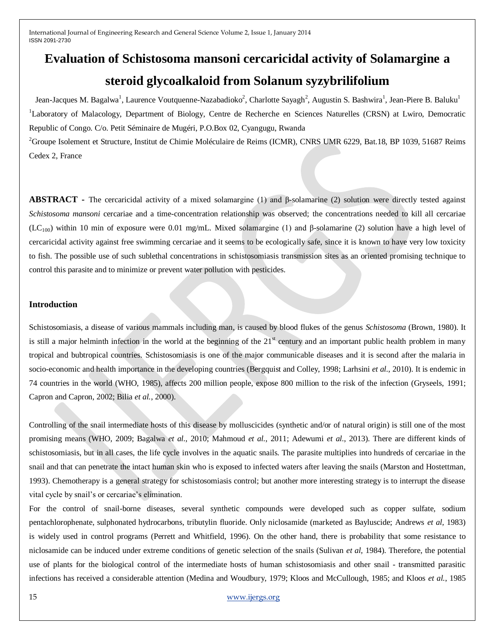# **Evaluation of Schistosoma mansoni cercaricidal activity of Solamargine a steroid glycoalkaloid from Solanum syzybrilifolium**

Jean-Jacques M. Bagalwa<sup>1</sup>, Laurence Voutquenne-Nazabadioko<sup>2</sup>, Charlotte Sayagh<sup>2</sup>, Augustin S. Bashwira<sup>1</sup>, Jean-Piere B. Baluku<sup>1</sup> <sup>1</sup>Laboratory of Malacology, Department of Biology, Centre de Recherche en Sciences Naturelles (CRSN) at Lwiro, Democratic Republic of Congo. C/o. Petit Séminaire de Mugéri, P.O.Box 02, Cyangugu, Rwanda

<sup>2</sup>Groupe Isolement et Structure, Institut de Chimie Moléculaire de Reims (ICMR), CNRS UMR 6229, Bat.18, BP 1039, 51687 Reims Cedex 2, France

**ABSTRACT -** The cercaricidal activity of a mixed solamargine (1) and β-solamarine (2) solution were directly tested against *Schistosoma mansoni* cercariae and a time-concentration relationship was observed; the concentrations needed to kill all cercariae (LC<sub>100</sub>) within 10 min of exposure were 0.01 mg/mL. Mixed solamargine (1) and β-solamarine (2) solution have a high level of cercaricidal activity against free swimming cercariae and it seems to be ecologically safe, since it is known to have very low toxicity to fish. The possible use of such sublethal concentrations in schistosomiasis transmission sites as an oriented promising technique to control this parasite and to minimize or prevent water pollution with pesticides.

#### **Introduction**

Schistosomiasis, a disease of various mammals including man, is caused by blood flukes of the genus *Schistosoma* (Brown, 1980). It is still a major helminth infection in the world at the beginning of the  $21<sup>st</sup>$  century and an important public health problem in many tropical and bubtropical countries. Schistosomiasis is one of the major communicable diseases and it is second after the malaria in socio-economic and health importance in the developing countries (Bergquist and Colley, 1998; Larhsini *et al.*, 2010). It is endemic in 74 countries in the world (WHO, 1985), affects 200 million people, expose 800 million to the risk of the infection (Gryseels, 1991; Capron and Capron, 2002; Bilia *et al.*, 2000).

Controlling of the snail intermediate hosts of this disease by molluscicides (synthetic and/or of natural origin) is still one of the most promising means (WHO, 2009; Bagalwa *et al.*, 2010; Mahmoud *et al.*, 2011; Adewumi *et al.*, 2013). There are different kinds of schistosomiasis, but in all cases, the life cycle involves in the aquatic snails. The parasite multiplies into hundreds of cercariae in the snail and that can penetrate the intact human skin who is exposed to infected waters after leaving the snails (Marston and Hostettman, 1993). Chemotherapy is a general strategy for schistosomiasis control; but another more interesting strategy is to interrupt the disease vital cycle by snail's or cercariae's elimination.

For the control of snail-borne diseases, several synthetic compounds were developed such as copper sulfate, sodium pentachlorophenate, sulphonated hydrocarbons, tributylin fluoride. Only niclosamide (marketed as Bayluscide; Andrews *et al,* 1983) is widely used in control programs (Perrett and Whitfield, 1996). On the other hand, there is probability that some resistance to niclosamide can be induced under extreme conditions of genetic selection of the snails (Sulivan *et al,* 1984). Therefore, the potential use of plants for the biological control of the intermediate hosts of human schistosomiasis and other snail - transmitted parasitic infections has received a considerable attention (Medina and Woudbury, 1979; Kloos and McCullough, 1985; and Kloos *et al.*, 1985

#### 15 [www.ijergs.org](http://www.ijergs.org/)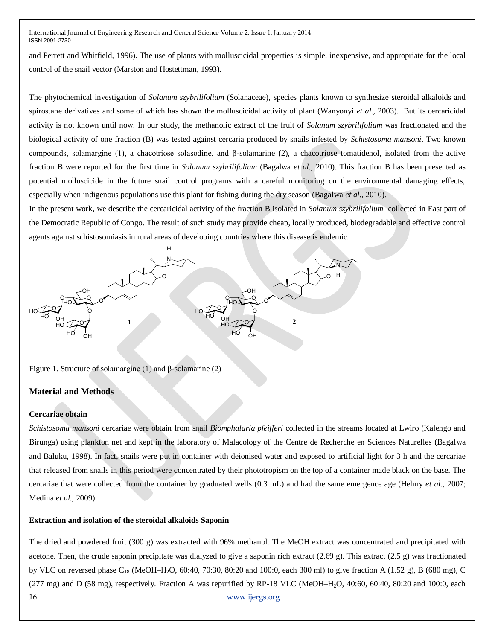and Perrett and Whitfield, 1996). The use of plants with molluscicidal properties is simple, inexpensive, and appropriate for the local control of the snail vector (Marston and Hostettman, 1993).

The phytochemical investigation of *Solanum szybrilifolium* (Solanaceae), species plants known to synthesize steroidal alkaloids and spirostane derivatives and some of which has shown the molluscicidal activity of plant (Wanyonyi *et al.*, 2003). But its cercaricidal activity is not known until now. In our study, the methanolic extract of the fruit of *Solanum szybrilifolium* was fractionated and the biological activity of one fraction (B) was tested against cercaria produced by snails infested by *Schistosoma mansoni*. Two known compounds, solamargine (1), a chacotriose solasodine, and β-solamarine (2), a chacotriose tomatidenol, isolated from the active fraction B were reported for the first time in *Solanum szybrilifolium* (Bagalwa *et al.*, 2010). This fraction B has been presented as potential molluscicide in the future snail control programs with a careful monitoring on the environmental damaging effects, especially when indigenous populations use this plant for fishing during the dry season (Bagalwa *et al.*, 2010).

In the present work, we describe the cercaricidal activity of the fraction B isolated in *Solanum szybrilifolium* collected in East part of the Democratic Republic of Congo. The result of such study may provide cheap, locally produced, biodegradable and effective control agents against schistosomiasis in rural areas of developing countries where this disease is endemic.



Figure 1. Structure of solamargine (1) and β-solamarine (2)

# **Material and Methods**

## **Cercariae obtain**

*Schistosoma mansoni* cercariae were obtain from snail *Biomphalaria pfeifferi* collected in the streams located at Lwiro (Kalengo and Birunga) using plankton net and kept in the laboratory of Malacology of the Centre de Recherche en Sciences Naturelles (Bagalwa and Baluku, 1998). In fact, snails were put in container with deionised water and exposed to artificial light for 3 h and the cercariae that released from snails in this period were concentrated by their phototropism on the top of a container made black on the base. The cercariae that were collected from the container by graduated wells (0.3 mL) and had the same emergence age (Helmy *et al.*, 2007; Medina *et al.*, 2009).

## **Extraction and isolation of the steroidal alkaloids Saponin**

16 [www.ijergs.org](http://www.ijergs.org/) The dried and powdered fruit (300 g) was extracted with 96% methanol. The MeOH extract was concentrated and precipitated with acetone. Then, the crude saponin precipitate was dialyzed to give a saponin rich extract  $(2.69 \text{ g})$ . This extract  $(2.5 \text{ g})$  was fractionated by VLC on reversed phase  $C_{18}$  (MeOH–H<sub>2</sub>O, 60:40, 70:30, 80:20 and 100:0, each 300 ml) to give fraction A (1.52 g), B (680 mg), C  $(277 \text{ mg})$  and D (58 mg), respectively. Fraction A was repurified by RP-18 VLC (MeOH–H<sub>2</sub>O, 40:60, 60:40, 80:20 and 100:0, each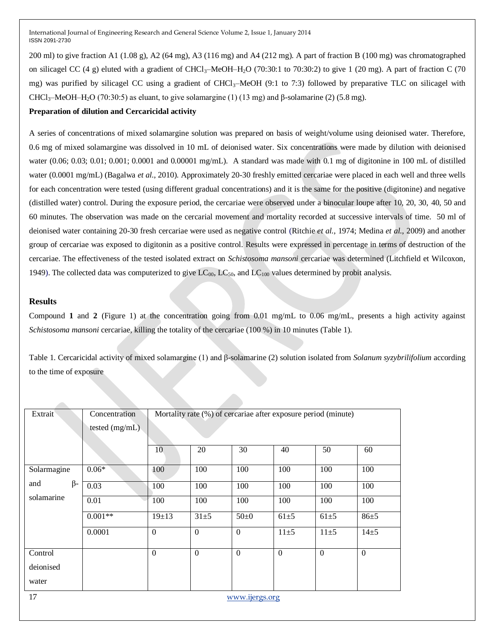200 ml) to give fraction A1 (1.08 g), A2 (64 mg), A3 (116 mg) and A4 (212 mg). A part of fraction B (100 mg) was chromatographed on silicagel CC (4 g) eluted with a gradient of CHCl<sub>3</sub>–MeOH–H<sub>2</sub>O (70:30:1 to 70:30:2) to give 1 (20 mg). A part of fraction C (70 mg) was purified by silicagel CC using a gradient of  $CHCl<sub>3</sub>$ –MeOH (9:1 to 7:3) followed by preparative TLC on silicagel with CHCl3–MeOH–H2O (70:30:5) as eluant, to give solamargine (1) (13 mg) and β-solamarine (2) (5.8 mg).

# **Preparation of dilution and Cercaricidal activity**

A series of concentrations of mixed solamargine solution was prepared on basis of weight/volume using deionised water. Therefore, 0.6 mg of mixed solamargine was dissolved in 10 mL of deionised water. Six concentrations were made by dilution with deionised water (0.06; 0.03; 0.01; 0.001; 0.0001 and 0.00001 mg/mL). A standard was made with 0.1 mg of digitonine in 100 mL of distilled water (0.0001 mg/mL) (Bagalwa *et al.*, 2010). Approximately 20-30 freshly emitted cercariae were placed in each well and three wells for each concentration were tested (using different gradual concentrations) and it is the same for the positive (digitonine) and negative (distilled water) control. During the exposure period, the cercariae were observed under a binocular loupe after 10, 20, 30, 40, 50 and 60 minutes. The observation was made on the cercarial movement and mortality recorded at successive intervals of time. 50 ml of deionised water containing 20-30 fresh cercariae were used as negative control (Ritchie *et al.*, 1974; Medina *et al.*, 2009) and another group of cercariae was exposed to digitonin as a positive control. Results were expressed in percentage in terms of destruction of the cercariae. The effectiveness of the tested isolated extract on *Schistosoma mansoni* cercariae was determined (Litchfield et Wilcoxon, 1949). The collected data was computerized to give  $LC_{00}$ ,  $LC_{50}$ , and  $LC_{100}$  values determined by probit analysis.

## **Results**

Compound **1** and **2** (Figure 1) at the concentration going from 0.01 mg/mL to 0.06 mg/mL, presents a high activity against *Schistosoma mansoni* cercariae, killing the totality of the cercariae (100 %) in 10 minutes (Table 1).

Table 1. Cercaricidal activity of mixed solamargine (1) and β-solamarine (2) solution isolated from *Solanum syzybrilifolium* according to the time of exposure

| Extrait              | Concentration<br>Mortality rate (%) of cercariae after exposure period (minute) |                |                |                |                |                |                |  |  |
|----------------------|---------------------------------------------------------------------------------|----------------|----------------|----------------|----------------|----------------|----------------|--|--|
|                      | tested (mg/mL)                                                                  |                |                |                |                |                |                |  |  |
|                      |                                                                                 | 10             | 20             | 30             | 40             | 50             | 60             |  |  |
| Solarmagine          | $0.06*$                                                                         | 100            | 100            | 100            | 100            | 100            | 100            |  |  |
| $\beta$ -<br>and     | 0.03                                                                            | 100            | 100            | 100            | 100            | 100            | 100            |  |  |
| solamarine           | 0.01                                                                            | 100            | 100            | 100            | 100            | 100            | 100            |  |  |
|                      | $0.001**$                                                                       | $19+13$        | $31 + 5$       | $50+0$         | $61\pm5$       | $61\pm5$       | $86 + 5$       |  |  |
|                      | 0.0001                                                                          | $\overline{0}$ | $\overline{0}$ | $\overline{0}$ | $11\pm5$       | $11\pm5$       | $14\pm 5$      |  |  |
| Control              |                                                                                 | $\overline{0}$ | $\overline{0}$ | $\overline{0}$ | $\overline{0}$ | $\overline{0}$ | $\overline{0}$ |  |  |
| deionised            |                                                                                 |                |                |                |                |                |                |  |  |
| water                |                                                                                 |                |                |                |                |                |                |  |  |
| 17<br>www.ijergs.org |                                                                                 |                |                |                |                |                |                |  |  |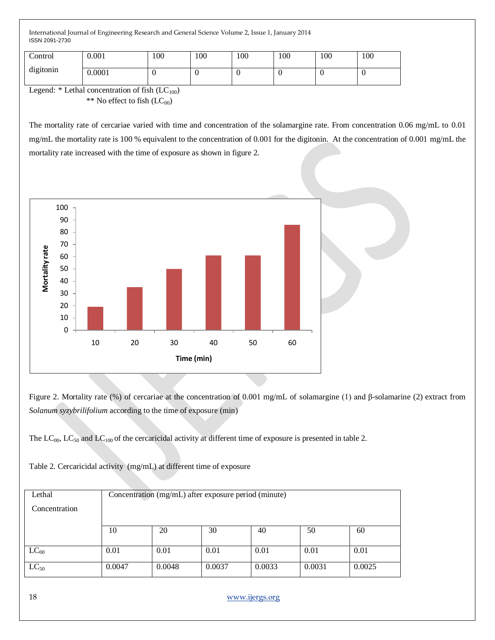| Control<br>digitonin | 0.001  | 100 | 100 | 100 | 100 | 100 | 100 |
|----------------------|--------|-----|-----|-----|-----|-----|-----|
|                      | 0.0001 |     | ◡   | U   |     |     | v   |

Legend:  $*$  Lethal concentration of fish  $(LC_{100})$ \*\* No effect to fish  $(LC_{00})$ 

The mortality rate of cercariae varied with time and concentration of the solamargine rate. From concentration 0.06 mg/mL to 0.01 mg/mL the mortality rate is 100 % equivalent to the concentration of 0.001 for the digitonin. At the concentration of 0.001 mg/mL the mortality rate increased with the time of exposure as shown in figure 2.



Figure 2. Mortality rate (%) of cercariae at the concentration of 0.001 mg/mL of solamargine (1) and β-solamarine (2) extract from *Solanum syzybrilifolium* according to the time of exposure (min)

The  $LC_{00}$ ,  $LC_{50}$  and  $LC_{100}$  of the cercaricidal activity at different time of exposure is presented in table 2.

| Lethal        | Concentration (mg/mL) after exposure period (minute) |        |        |        |        |        |  |
|---------------|------------------------------------------------------|--------|--------|--------|--------|--------|--|
| Concentration |                                                      |        |        |        |        |        |  |
|               |                                                      |        |        |        |        |        |  |
|               | 10                                                   | 20     | 30     | 40     | 50     | 60     |  |
|               |                                                      |        |        |        |        |        |  |
| $LC_{00}$     | 0.01                                                 | 0.01   | 0.01   | 0.01   | 0.01   | 0.01   |  |
| $LC_{50}$     | 0.0047                                               | 0.0048 | 0.0037 | 0.0033 | 0.0031 | 0.0025 |  |

Table 2. Cercaricidal activity (mg/mL) at different time of exposure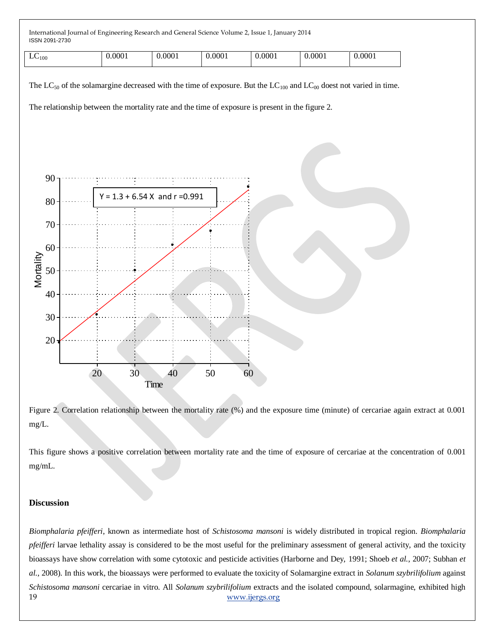| $\overline{\phantom{0}}$<br>$LU_{100}$ | 0.0001 | 0.0001 | 000 <sub>1</sub> | $\Omega$<br>77<br>UUU. | 0001 | 0.0001 |
|----------------------------------------|--------|--------|------------------|------------------------|------|--------|
|----------------------------------------|--------|--------|------------------|------------------------|------|--------|

The LC<sub>50</sub> of the solamargine decreased with the time of exposure. But the LC<sub>100</sub> and LC<sub>00</sub> doest not varied in time.

The relationship between the mortality rate and the time of exposure is present in the figure 2.



Figure 2. Correlation relationship between the mortality rate (%) and the exposure time (minute) of cercariae again extract at 0.001 mg/L.

This figure shows a positive correlation between mortality rate and the time of exposure of cercariae at the concentration of 0.001 mg/mL.

# **Discussion**

19 [www.ijergs.org](http://www.ijergs.org/) *Biomphalaria pfeifferi*, known as intermediate host of *Schistosoma mansoni* is widely distributed in tropical region. *Biomphalaria pfeifferi* larvae lethality assay is considered to be the most useful for the preliminary assessment of general activity, and the toxicity bioassays have show correlation with some cytotoxic and pesticide activities (Harborne and Dey, 1991; Shoeb *et al.*, 2007; Subhan *et al.*, 2008). In this work, the bioassays were performed to evaluate the toxicity of Solamargine extract in *Solanum szybrilifolium* against *Schistosoma mansoni* cercariae in vitro. All *Solanum szybrilifolium* extracts and the isolated compound, solarmagine, exhibited high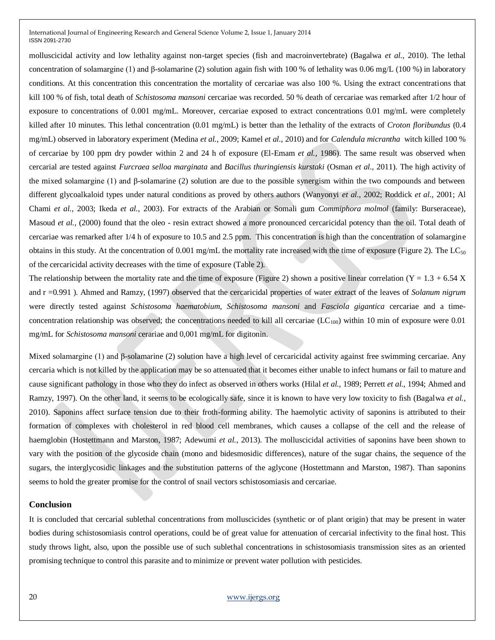molluscicidal activity and low lethality against non-target species (fish and macroinvertebrate) (Bagalwa *et al.*, 2010). The lethal concentration of solamargine (1) and β-solamarine (2) solution again fish with 100 % of lethality was 0.06 mg/L (100 %) in laboratory conditions. At this concentration this concentration the mortality of cercariae was also 100 %. Using the extract concentrations that kill 100 % of fish, total death of *Schistosoma mansoni* cercariae was recorded. 50 % death of cercariae was remarked after 1/2 hour of exposure to concentrations of 0.001 mg/mL. Moreover, cercariae exposed to extract concentrations 0.01 mg/mL were completely killed after 10 minutes. This lethal concentration (0.01 mg/mL) is better than the lethality of the extracts of *Croton floribundus* (0.4 mg/mL) observed in laboratory experiment (Medina *et al.*, 2009; Kamel *et al.*, 2010) and for *Calendula micrantha* witch killed 100 % of cercariae by 100 ppm dry powder within 2 and 24 h of exposure (El-Emam *et al.*, 1986). The same result was observed when cercarial are tested against *Furcraea selloa marginata* and *Bacillus thuringiensis kurstaki* (Osman *et al.*, 2011). The high activity of the mixed solamargine (1) and β-solamarine (2) solution are due to the possible synergism within the two compounds and between different glycoalkaloid types under natural conditions as proved by others authors (Wanyonyi *et al.*, 2002; Roddick *et al.*, 2001; Al Chami *et al.*, 2003; Ikeda *et al.*, 2003). For extracts of the Arabian or Somali gum *Commiphora molmol* (family: Burseraceae), Masoud *et al.*, (2000) found that the oleo - resin extract showed a more pronounced cercaricidal potency than the oil. Total death of cercariae was remarked after 1/4 h of exposure to 10.5 and 2.5 ppm. This concentration is high than the concentration of solamargine obtains in this study. At the concentration of 0.001 mg/mL the mortality rate increased with the time of exposure (Figure 2). The  $LC_{50}$ of the cercaricidal activity decreases with the time of exposure (Table 2).

The relationship between the mortality rate and the time of exposure (Figure 2) shown a positive linear correlation (Y = 1.3 + 6.54 X and r =0.991 ). Ahmed and Ramzy, (1997) observed that the cercaricidal properties of water extract of the leaves of *Solanum nigrum* were directly tested against *Schistosoma haematobium*, *Schistosoma mansoni* and *Fasciola gigantica* cercariae and a timeconcentration relationship was observed; the concentrations needed to kill all cercariae  $(LC_{100})$  within 10 min of exposure were 0.01 mg/mL for *Schistosoma mansoni* cerariae and 0,001 mg/mL for digitonin.

Mixed solamargine (1) and β-solamarine (2) solution have a high level of cercaricidal activity against free swimming cercariae. Any cercaria which is not killed by the application may be so attenuated that it becomes either unable to infect humans or fail to mature and cause significant pathology in those who they do infect as observed in others works (Hilal *et al.*, 1989; Perrett *et al.,* 1994; Ahmed and Ramzy, 1997). On the other land, it seems to be ecologically safe, since it is known to have very low toxicity to fish (Bagalwa *et al.*, 2010). Saponins affect surface tension due to their froth-forming ability. The haemolytic activity of saponins is attributed to their formation of complexes with cholesterol in red blood cell membranes, which causes a collapse of the cell and the release of haemglobin (Hostettmann and Marston, 1987; Adewumi *et al.*, 2013). The molluscicidal activities of saponins have been shown to vary with the position of the glycoside chain (mono and bidesmosidic differences), nature of the sugar chains, the sequence of the sugars, the interglycosidic linkages and the substitution patterns of the aglycone (Hostettmann and Marston, 1987). Than saponins seems to hold the greater promise for the control of snail vectors schistosomiasis and cercariae.

#### **Conclusion**

It is concluded that cercarial sublethal concentrations from molluscicides (synthetic or of plant origin) that may be present in water bodies during schistosomiasis control operations, could be of great value for attenuation of cercarial infectivity to the final host. This study throws light, also, upon the possible use of such sublethal concentrations in schistosomiasis transmission sites as an oriented promising technique to control this parasite and to minimize or prevent water pollution with pesticides.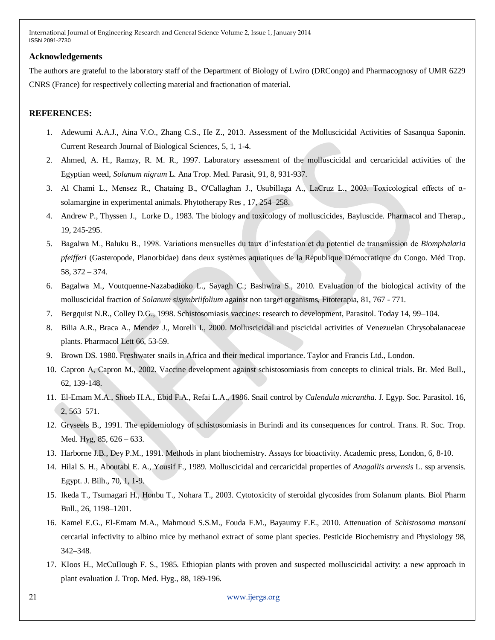#### **Acknowledgements**

The authors are grateful to the laboratory staff of the Department of Biology of Lwiro (DRCongo) and Pharmacognosy of UMR 6229 CNRS (France) for respectively collecting material and fractionation of material.

# **REFERENCES:**

- 1. Adewumi A.A.J., Aina V.O., Zhang C.S., He Z., 2013. Assessment of the Molluscicidal Activities of Sasanqua Saponin. Current Research Journal of Biological Sciences, 5, 1, 1-4.
- 2. Ahmed, A. H., Ramzy, R. M. R., 1997. Laboratory assessment of the molluscicidal and cercaricidal activities of the Egyptian weed, *Solanum nigrum* L. Ana Trop. Med. Parasit, 91, 8, 931-937.
- 3. Al Chami L., Mensez R., Chataing B., O'Callaghan J., Usubillaga A., LaCruz L., 2003. Toxicological effects of αsolamargine in experimental animals. Phytotherapy Res , 17, 254–258.
- 4. Andrew P., Thyssen J., Lorke D., 1983. The biology and toxicology of molluscicides, Bayluscide. Pharmacol and Therap., 19, 245-295.
- 5. Bagalwa M., Baluku B., 1998. Variations mensuelles du taux d'infestation et du potentiel de transmission de *Biomphalaria pfeifferi* (Gasteropode, Planorbidae) dans deux systèmes aquatiques de la République Démocratique du Congo. Méd Trop. 58, 372 – 374.
- 6. Bagalwa M., Voutquenne-Nazabadioko L., Sayagh C.; Bashwira S., 2010. Evaluation of the biological activity of the molluscicidal fraction of *Solanum sisymbriifolium* against non target organisms, Fitoterapia, 81, 767 - 771.
- 7. Bergquist N.R., Colley D.G., 1998. Schistosomiasis vaccines: research to development, Parasitol. Today 14, 99–104.
- 8. Bilia A.R., Braca A., Mendez J., Morelli I., 2000. Molluscicidal and piscicidal activities of Venezuelan Chrysobalanaceae plants. Pharmacol Lett 66, 53-59.
- 9. Brown DS. 1980. Freshwater snails in Africa and their medical importance. Taylor and Francis Ltd., London.
- 10. Capron A, Capron M., 2002. Vaccine development against schistosomiasis from concepts to clinical trials. Br. Med Bull., 62, 139-148.
- 11. El-Emam M.A., Shoeb H.A., Ebid F.A., Refai L.A., 1986. Snail control by *Calendula micrantha*. J. Egyp. Soc. Parasitol. 16, 2, 563–571.
- 12. Gryseels B., 1991. The epidemiology of schistosomiasis in Burindi and its consequences for control. Trans. R. Soc. Trop. Med. Hyg, 85, 626 – 633.
- 13. Harborne J.B., Dey P.M., 1991. Methods in plant biochemistry. Assays for bioactivity. Academic press, London, 6, 8-10.
- 14. Hilal S. H., Aboutabl E. A., Yousif F., 1989. Molluscicidal and cercaricidal properties of *Anagallis arvensis* L. ssp arvensis. Egypt. J. Bilh., 70, 1, 1-9.
- 15. Ikeda T., Tsumagari H., Honbu T., Nohara T., 2003. Cytotoxicity of steroidal glycosides from Solanum plants. Biol Pharm Bull., 26, 1198–1201.
- 16. Kamel E.G., El-Emam M.A., Mahmoud S.S.M., Fouda F.M., Bayaumy F.E., 2010. Attenuation of *Schistosoma mansoni* cercarial infectivity to albino mice by methanol extract of some plant species. Pesticide Biochemistry and Physiology 98, 342–348.
- 17. KIoos H., McCuIlough F. S., 1985. Ethiopian plants with proven and suspected molluscicidal activity: a new approach in plant evaluation J. Trop. Med. Hyg., 88, 189-196.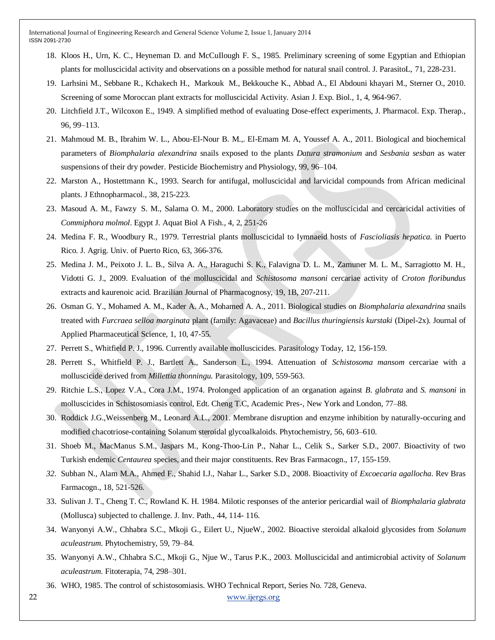- 18. Kloos H., Urn, K. C., Heyneman D. and McCuIlough F. S., 1985. Preliminary screening of some Egyptian and Ethiopian plants for molluscicidal activity and observations on a possible method for natural snail control. J. ParasitoL, 71, 228-231.
- 19. Larhsini M., Sebbane R., Kchakech H., Markouk M., Bekkouche K., Abbad A., El Abdouni khayari M., Sterner O., 2010. Screening of some Moroccan plant extracts for molluscicidal Activity. Asian J. Exp. Biol., 1, 4, 964-967.
- 20. Litchfield J.T., Wilcoxon E., 1949. A simplified method of evaluating Dose-effect experiments, J. Pharmacol. Exp. Therap., 96, 99–113.
- 21. Mahmoud M. B., Ibrahim W. L., Abou-El-Nour B. M.,. El-Emam M. A, Youssef A. A., 2011. Biological and biochemical parameters of *Biomphalaria alexandrina* snails exposed to the plants *Datura stramonium* and *Sesbania sesban* as water suspensions of their dry powder. Pesticide Biochemistry and Physiology, 99, 96–104.
- 22. Marston A., Hostettmann K., 1993. Search for antifugal, molluscicidal and larvicidal compounds from African medicinal plants. J Ethnopharmacol., 38, 215-223.
- 23. Masoud A. M., Fawzy S. M., Salama O. M., 2000. Laboratory studies on the molluscicidal and cercaricidal activities of *Commiphora molmol*. Egypt J. Aquat Biol A Fish., 4, 2, 251-26
- 24. Medina F. R., Woodbury R., 1979. Terrestrial plants molluscicidal to Iymnaeid hosts of *Fascioliasis hepatica.* in Puerto Rico. J. Agrig. Univ. of Puerto Rico, 63, 366-376.
- 25. Medina J. M., Peixoto J. L. B., Silva A. A., Haraguchi S. K., Falavigna D. L. M., Zamuner M. L. M., Sarragiotto M. H., Vidotti G. J., 2009. Evaluation of the molluscicidal and *Schistosoma mansoni* cercariae activity of *Croton floribundus*  extracts and kaurenoic acid. Brazilian Journal of Pharmacognosy, 19, 1B, 207-211.
- 26. Osman G. Y., Mohamed A. M., Kader A. A., Mohamed A. A., 2011. Biological studies on *Biomphalaria alexandrina* snails treated with *Furcraea selloa marginata* plant (family: Agavaceae) and *Bacillus thuringiensis kurstaki* (Dipel-2x). Journal of Applied Pharmaceutical Science, 1, 10, 47-55.
- 27. Perrett S., Whitfield P. J., 1996. Currently available molluscicides. Parasitology Today, 12, 156-159.
- 28. Perrett S., Whitfield P. J., Bartlett A., Sanderson L., 1994. Attenuation of *Schistosoma mansom* cercariae with a molluscicide derived from *Millettia thonningu.* Parasitology, 109, 559-563.
- 29. Ritchie L.S., Lopez V.A., Cora J.M., 1974. Prolonged application of an organation against *B. glabrata* and *S. mansoni* in molluscicides in Schistosomiasis control, Edt. Cheng T.C, Academic Pres-, New York and London, 77–88.
- 30. Roddick J.G.,Weissenberg M., Leonard A.L., 2001. Membrane disruption and enzyme inhibition by naturally-occuring and modified chacotriose-containing Solanum steroidal glycoalkaloids. Phytochemistry, 56, 603–610.
- 31. Shoeb M., MacManus S.M., Jaspars M., Kong-Thoo-Lin P., Nahar L., Celik S., Sarker S.D., 2007. Bioactivity of two Turkish endemic *Centaurea* species, and their major constituents. Rev Bras Farmacogn., 17, 155-159.
- *32.* Subhan N., Alam M.A., Ahmed F., Shahid I.J., Nahar L., Sarker S.D., 2008. Bioactivity of *Excoecaria agallocha*. Rev Bras Farmacogn., 18, 521-526.
- 33. Sulivan J. T., Cheng T. C., Rowland K. H. 1984. Milotic responses of the anterior pericardial wail of *Biomphalaria glabrata*  (Mollusca) subjected to challenge. J. Inv. Path., 44, 114- 116.
- 34. Wanyonyi A.W., Chhabra S.C., Mkoji G., Eilert U., NjueW., 2002. Bioactive steroidal alkaloid glycosides from *Solanum aculeastrum*. Phytochemistry, 59, 79–84.
- 35. Wanyonyi A.W., Chhabra S.C., Mkoji G., Njue W., Tarus P.K., 2003. Molluscicidal and antimicrobial activity of *Solanum aculeastrum*. Fitoterapia, 74, 298–301.
- 36. WHO, 1985. The control of schistosomiasis. WHO Technical Report, Series No. 728, Geneva.

22 [www.ijergs.org](http://www.ijergs.org/)